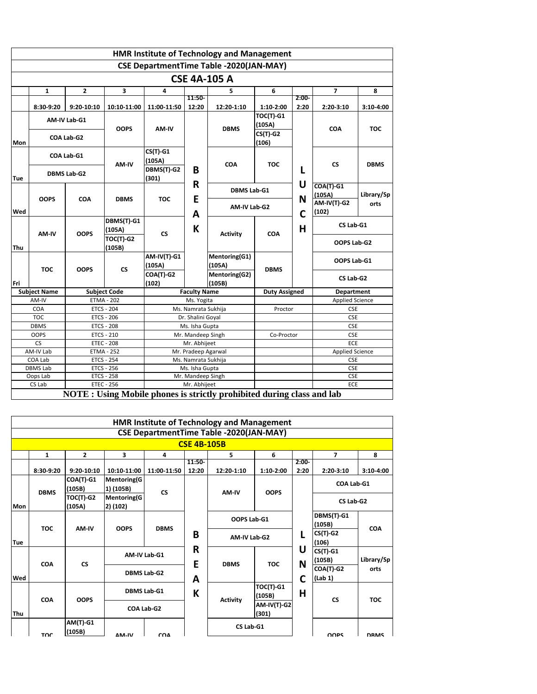|     |                     |                    |                     |                    |                     | <b>HMR Institute of Technology and Management</b>                      |                      |         |                          |             |
|-----|---------------------|--------------------|---------------------|--------------------|---------------------|------------------------------------------------------------------------|----------------------|---------|--------------------------|-------------|
|     |                     |                    |                     |                    |                     | <b>CSE DepartmentTime Table -2020(JAN-MAY)</b>                         |                      |         |                          |             |
|     |                     |                    |                     |                    |                     | <b>CSE 4A-105 A</b>                                                    |                      |         |                          |             |
|     | $\mathbf{1}$        | $\overline{2}$     | 3                   | 4                  |                     | 5                                                                      | 6                    |         | $\overline{\phantom{a}}$ | 8           |
|     |                     |                    |                     |                    | 11:50-              |                                                                        |                      | $2:00-$ |                          |             |
|     | 8:30-9:20           | 9:20-10:10         | 10:10-11:00         | 11:00-11:50        | 12:20               | 12:20-1:10                                                             | 1:10-2:00            | 2:20    | 2:20-3:10                | 3:10-4:00   |
|     |                     | AM-IV Lab-G1       |                     |                    |                     |                                                                        | <b>TOC(T)-G1</b>     |         |                          |             |
|     |                     |                    | <b>OOPS</b>         | AM-IV              |                     | <b>DBMS</b>                                                            | (105A)               |         | <b>COA</b>               | TOC         |
|     |                     | COA Lab-G2         |                     |                    |                     |                                                                        | $CS(T)$ -G2          |         |                          |             |
| Mon |                     |                    |                     |                    |                     |                                                                        | (106)                |         |                          |             |
|     |                     | COA Lab-G1         |                     | $CS(T)$ -G1        |                     |                                                                        |                      |         |                          |             |
|     |                     |                    | AM-IV               | (105A)             |                     | <b>COA</b>                                                             | <b>TOC</b>           |         | <b>CS</b>                | <b>DBMS</b> |
|     |                     | <b>DBMS Lab-G2</b> |                     | DBMS(T)-G2         | B                   |                                                                        |                      | L       |                          |             |
| Tue |                     |                    |                     | (301)              |                     |                                                                        |                      | U       |                          |             |
|     |                     |                    |                     |                    | R                   | <b>DBMS Lab-G1</b>                                                     |                      |         | $COA(T)-G1$              |             |
|     | <b>OOPS</b>         | <b>COA</b>         | <b>DBMS</b>         | <b>TOC</b>         | Е                   |                                                                        |                      | N       | (105A)                   | Library/Sp  |
|     |                     |                    |                     |                    |                     | AM-IV Lab-G2                                                           |                      |         | <b>AM-IV(T)-G2</b>       | orts        |
| Wed |                     |                    | DBMS(T)-G1          |                    | A                   |                                                                        |                      | C       | (102)                    |             |
|     |                     |                    | (105A)              |                    | К                   |                                                                        |                      | н       | CS Lab-G1                |             |
|     | AM-IV               | <b>OOPS</b>        | <b>TOC(T)-G2</b>    | <b>CS</b>          |                     | <b>Activity</b>                                                        | <b>COA</b>           |         |                          |             |
|     |                     |                    |                     |                    |                     |                                                                        |                      |         | OOPS Lab-G2              |             |
| Thu |                     |                    | (105B)              | <b>AM-IV(T)-G1</b> |                     |                                                                        |                      |         |                          |             |
|     |                     |                    |                     | (105A)             |                     | Mentoring(G1)<br>(105A)                                                |                      |         | OOPS Lab-G1              |             |
|     | <b>TOC</b>          | <b>OOPS</b>        | <b>CS</b>           | COA(T)-G2          |                     | Mentoring(G2)                                                          | <b>DBMS</b>          |         |                          |             |
| Fri |                     |                    |                     | (102)              |                     | (105B)                                                                 |                      |         | CS Lab-G2                |             |
|     | <b>Subject Name</b> |                    | <b>Subject Code</b> |                    | <b>Faculty Name</b> |                                                                        | <b>Duty Assigned</b> |         | Department               |             |
|     | AM-IV               |                    | <b>ETMA - 202</b>   |                    | Ms. Yogita          |                                                                        |                      |         | <b>Applied Science</b>   |             |
|     | COA                 |                    | <b>ETCS - 204</b>   |                    | Ms. Namrata Sukhija |                                                                        | Proctor              |         | <b>CSE</b>               |             |
|     | <b>TOC</b>          |                    | <b>ETCS - 206</b>   |                    | Dr. Shalini Goyal   |                                                                        |                      |         | <b>CSE</b>               |             |
|     | <b>DBMS</b>         |                    | <b>ETCS - 208</b>   |                    | Ms. Isha Gupta      |                                                                        |                      |         | <b>CSE</b>               |             |
|     | <b>OOPS</b>         |                    | <b>ETCS - 210</b>   |                    | Mr. Mandeep Singh   |                                                                        | Co-Proctor           |         | <b>CSE</b>               |             |
|     | C <sub>S</sub>      |                    | <b>ETEC - 208</b>   |                    | Mr. Abhijeet        |                                                                        |                      |         | ECE                      |             |
|     | AM-IV Lab           |                    | <b>ETMA - 252</b>   |                    | Mr. Pradeep Agarwal |                                                                        |                      |         | <b>Applied Science</b>   |             |
|     | COA Lab             |                    | <b>ETCS - 254</b>   |                    | Ms. Namrata Sukhija |                                                                        |                      |         | <b>CSE</b>               |             |
|     | <b>DBMS Lab</b>     |                    | <b>ETCS - 256</b>   |                    | Ms. Isha Gupta      |                                                                        |                      |         | <b>CSE</b>               |             |
|     | Oops Lab            |                    | <b>ETCS - 258</b>   |                    | Mr. Mandeep Singh   |                                                                        |                      |         | <b>CSE</b>               |             |
|     | CS Lab              |                    | <b>ETEC - 256</b>   |                    | Mr. Abhijeet        |                                                                        |                      |         | ECE                      |             |
|     |                     |                    |                     |                    |                     | NOTE : Using Mobile phones is strictly prohibited during class and lab |                      |         |                          |             |

|     |              |                            |                                 |             |                    | <b>HMR Institute of Technology and Management</b> |                             |                  |                        |             |
|-----|--------------|----------------------------|---------------------------------|-------------|--------------------|---------------------------------------------------|-----------------------------|------------------|------------------------|-------------|
|     |              |                            |                                 |             |                    | <b>CSE DepartmentTime Table -2020(JAN-MAY)</b>    |                             |                  |                        |             |
|     |              |                            |                                 |             | <b>CSE 4B-105B</b> |                                                   |                             |                  |                        |             |
|     | $\mathbf{1}$ | $\overline{2}$             | 3                               | 4           |                    | 5.                                                | 6                           |                  | 7                      | 8           |
|     | $8:30-9:20$  | 9:20-10:10                 | 10:10-11:00                     | 11:00-11:50 | 11:50-<br>12:20    | 12:20-1:10                                        | $1:10-2:00$                 | $2:00 -$<br>2:20 | $2:20-3:10$            | $3:10-4:00$ |
|     | <b>DBMS</b>  | COA(T)-G1<br>(105B)        | <b>Mentoring(G</b><br>1) (105B) | <b>CS</b>   |                    | AM-IV                                             | <b>OOPS</b>                 |                  | COA Lab-G1             |             |
| Mon |              | <b>TOC(T)-G2</b><br>(105A) | <b>Mentoring(G</b><br>2) (102)  |             |                    |                                                   |                             |                  | CS Lab-G2              |             |
|     | <b>TOC</b>   | AM-IV                      | <b>OOPS</b>                     | <b>DBMS</b> |                    | OOPS Lab-G1                                       |                             |                  | DBMS(T)-G1<br>(105B)   | <b>COA</b>  |
| Tue |              |                            |                                 |             | B                  | AM-IV Lab-G2                                      |                             | L                | $CS(T)$ -G2<br>(106)   |             |
|     | <b>COA</b>   | <b>CS</b>                  | AM-IV Lab-G1                    |             | R<br>E             | <b>DBMS</b>                                       | <b>TOC</b>                  | U<br>N           | $CS(T)$ -G1<br>(105B)  | Library/Sp  |
| Wed |              |                            | <b>DBMS Lab-G2</b>              |             | A                  |                                                   |                             | C                | $COA(T)-G2$<br>(Lab 1) | orts        |
|     | <b>COA</b>   | <b>OOPS</b>                | <b>DBMS Lab-G1</b>              |             | K                  | <b>Activity</b>                                   | <b>TOC(T)-G1</b><br>(105B)  | Н                | <b>CS</b>              | <b>TOC</b>  |
| Thu |              |                            | COA Lab-G2                      |             |                    |                                                   | <b>AM-IV(T)-G2</b><br>(301) |                  |                        |             |
|     | TOC          | <b>AM(T)-G1</b><br>(105B)  | AM-IV                           | <b>COA</b>  |                    | CS Lab-G1                                         |                             |                  | <b>OOPS</b>            | <b>DRMS</b> |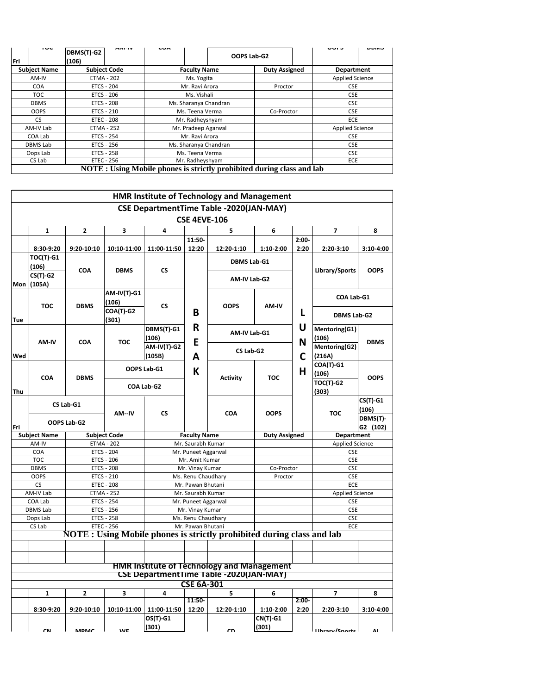| $\sim$<br>Fri       | DBMS(T)-G2<br>(106) | CHAITLY | $\mathbf{v}$                                                          |                       | OOPS Lab-G2          | ט זשט                  | レリバレ |
|---------------------|---------------------|---------|-----------------------------------------------------------------------|-----------------------|----------------------|------------------------|------|
| <b>Subject Name</b> | <b>Subject Code</b> |         |                                                                       | <b>Faculty Name</b>   | <b>Duty Assigned</b> | <b>Department</b>      |      |
| AM-IV               | <b>ETMA - 202</b>   |         |                                                                       | Ms. Yogita            |                      | <b>Applied Science</b> |      |
| COA                 | <b>ETCS - 204</b>   |         |                                                                       | Mr. Ravi Arora        | Proctor              | <b>CSE</b>             |      |
| TOC.                | ETCS - 206          |         |                                                                       | Ms. Vishali           |                      | <b>CSE</b>             |      |
| <b>DBMS</b>         | <b>ETCS - 208</b>   |         |                                                                       | Ms. Sharanya Chandran |                      | <b>CSE</b>             |      |
| <b>OOPS</b>         | ETCS - 210          |         |                                                                       | Ms. Teena Verma       | Co-Proctor           | <b>CSE</b>             |      |
| CS.                 | <b>ETEC - 208</b>   |         |                                                                       | Mr. Radheyshyam       |                      | <b>ECE</b>             |      |
| AM-IV Lab           | <b>ETMA - 252</b>   |         |                                                                       | Mr. Pradeep Agarwal   |                      | <b>Applied Science</b> |      |
| COA Lab             | ETCS - 254          |         |                                                                       | Mr. Ravi Arora        |                      | <b>CSE</b>             |      |
| <b>DBMS Lab</b>     | ETCS - 256          |         |                                                                       | Ms. Sharanya Chandran |                      | <b>CSE</b>             |      |
| Oops Lab            | ETCS - 258          |         |                                                                       | Ms. Teena Verma       |                      | <b>CSE</b>             |      |
| CS Lab              | ETEC - 256          |         |                                                                       | Mr. Radheyshyam       |                      | <b>ECE</b>             |      |
|                     |                     |         | NOTE: Using Mobile phones is strictly prohibited during class and lab |                       |                      |                        |      |

|     |                              |                   |                                        |                             |                                          | <b>HMR Institute of Technology and Management</b>                             |                      |                    |                                      |             |
|-----|------------------------------|-------------------|----------------------------------------|-----------------------------|------------------------------------------|-------------------------------------------------------------------------------|----------------------|--------------------|--------------------------------------|-------------|
|     |                              |                   |                                        |                             |                                          | <b>CSE DepartmentTime Table -2020(JAN-MAY)</b>                                |                      |                    |                                      |             |
|     |                              |                   |                                        |                             | <b>CSE 4EVE-106</b>                      |                                                                               |                      |                    |                                      |             |
|     | 1                            | $\overline{2}$    | 3                                      | 4                           |                                          | 5                                                                             | 6                    |                    | 7                                    | 8           |
|     |                              |                   |                                        |                             | 11:50-                                   |                                                                               |                      | $2:00-$            |                                      |             |
|     | 8:30-9:20                    | 9:20-10:10        | 10:10-11:00                            | 11:00-11:50                 | 12:20                                    | 12:20-1:10                                                                    | 1:10-2:00            | 2:20               | 2:20-3:10                            | 3:10-4:00   |
|     | TOC(T)-G1                    |                   |                                        |                             |                                          |                                                                               |                      |                    |                                      |             |
|     | (106)                        |                   |                                        |                             |                                          | <b>DBMS Lab-G1</b>                                                            |                      |                    |                                      |             |
|     | CS(T)-G2                     | <b>COA</b>        | <b>DBMS</b>                            | <b>CS</b>                   |                                          | AM-IV Lab-G2                                                                  |                      |                    | Library/Sports                       | <b>OOPS</b> |
|     | Mon (105A)                   |                   |                                        |                             |                                          |                                                                               |                      |                    |                                      |             |
|     |                              |                   | <b>AM-IV(T)-G1</b>                     |                             |                                          |                                                                               |                      |                    | COA Lab-G1                           |             |
|     | <b>TOC</b>                   | <b>DBMS</b>       | (106)                                  | CS                          |                                          | <b>OOPS</b>                                                                   | AM-IV                |                    |                                      |             |
|     |                              |                   | COA(T)-G2                              |                             | в                                        |                                                                               | L                    | <b>DBMS Lab-G2</b> |                                      |             |
| Tue |                              |                   | (301)                                  |                             | R                                        |                                                                               |                      | U                  |                                      |             |
|     |                              |                   |                                        | DBMS(T)-G1                  |                                          | AM-IV Lab-G1                                                                  |                      |                    | Mentoring(G1)                        |             |
|     | AM-IV                        | <b>COA</b>        | <b>TOC</b>                             | (106)<br><b>AM-IV(T)-G2</b> | E                                        |                                                                               |                      | N                  | (106)<br>Mentoring(G2)               | <b>DBMS</b> |
| Wed |                              |                   |                                        | (105B)                      | А                                        | CS Lab-G2                                                                     |                      | C                  | (216A)                               |             |
|     |                              |                   |                                        |                             |                                          |                                                                               |                      |                    | COA(T)-G1                            |             |
|     |                              |                   |                                        | OOPS Lab-G1                 | К                                        |                                                                               |                      | н                  | (106)                                |             |
|     | COA                          | <b>DBMS</b>       |                                        |                             |                                          | <b>Activity</b>                                                               | <b>TOC</b>           |                    | <b>TOC(T)-G2</b>                     | <b>OOPS</b> |
| Thu |                              |                   |                                        | COA Lab-G2                  |                                          |                                                                               |                      |                    | (303)                                |             |
|     |                              | CS Lab-G1         |                                        |                             |                                          |                                                                               |                      |                    |                                      | $CS(T)$ -G1 |
|     |                              |                   | AM--IV                                 | <b>CS</b>                   |                                          | COA                                                                           | <b>OOPS</b>          |                    | <b>TOC</b>                           | (106)       |
|     |                              | OOPS Lab-G2       |                                        |                             |                                          |                                                                               |                      |                    |                                      | DBMS(T)-    |
| Fri |                              |                   |                                        |                             |                                          |                                                                               |                      |                    |                                      | G2 (102)    |
|     | <b>Subject Name</b><br>AM-IV | <b>ETMA - 202</b> | <b>Subject Code</b>                    |                             | <b>Faculty Name</b><br>Mr. Saurabh Kumar |                                                                               | <b>Duty Assigned</b> |                    | Department<br><b>Applied Science</b> |             |
|     | COA                          |                   | <b>ETCS - 204</b>                      |                             | Mr. Puneet Aggarwal                      |                                                                               |                      |                    | <b>CSE</b>                           |             |
|     | <b>TOC</b>                   |                   | <b>ETCS - 206</b>                      |                             | Mr. Amit Kumar                           |                                                                               |                      |                    | <b>CSE</b>                           |             |
|     | <b>DBMS</b>                  |                   | <b>ETCS - 208</b>                      |                             | Mr. Vinay Kumar                          |                                                                               | Co-Proctor           |                    | <b>CSE</b>                           |             |
|     | <b>OOPS</b>                  |                   | <b>ETCS - 210</b>                      |                             | Ms. Renu Chaudhary                       |                                                                               | Proctor              |                    | <b>CSE</b>                           |             |
|     | <b>CS</b>                    |                   | <b>ETEC - 208</b>                      |                             | Mr. Pawan Bhutani                        |                                                                               |                      |                    | ECE                                  |             |
|     | AM-IV Lab<br>COA Lab         |                   | <b>ETMA - 252</b><br><b>ETCS - 254</b> |                             | Mr. Saurabh Kumar<br>Mr. Puneet Aggarwal |                                                                               |                      |                    | <b>Applied Science</b><br><b>CSE</b> |             |
|     | <b>DBMS Lab</b>              |                   | <b>ETCS - 256</b>                      |                             | Mr. Vinay Kumar                          |                                                                               |                      |                    | <b>CSE</b>                           |             |
|     | Oops Lab                     |                   | <b>ETCS - 258</b>                      |                             | Ms. Renu Chaudhary                       |                                                                               |                      |                    | <b>CSE</b>                           |             |
|     | CS Lab                       |                   | <b>ETEC - 256</b>                      |                             | Mr. Pawan Bhutani                        |                                                                               |                      |                    | ECE                                  |             |
|     |                              |                   |                                        |                             |                                          | <b>NOTE</b> : Using Mobile phones is strictly prohibited during class and lab |                      |                    |                                      |             |
|     |                              |                   |                                        |                             |                                          |                                                                               |                      |                    |                                      |             |
|     |                              |                   |                                        |                             |                                          |                                                                               |                      |                    |                                      |             |
|     |                              |                   |                                        |                             |                                          | <b>HMR Institute of Technology and Management</b>                             |                      |                    |                                      |             |
|     |                              |                   |                                        |                             |                                          | <b>CSE DepartmentTime Table -2020(JAN-MAY)</b>                                |                      |                    |                                      |             |
|     |                              |                   |                                        |                             | <b>CSE 6A-301</b>                        |                                                                               |                      |                    |                                      |             |
|     | $\mathbf{1}$                 | $\mathbf{2}$      | 3                                      | 4                           |                                          | 5                                                                             | 6                    |                    | 7                                    | 8           |
|     | 8:30-9:20                    | 9:20-10:10        | 10:10-11:00                            | 11:00-11:50                 | $11:50-$<br>12:20                        | 12:20-1:10                                                                    | 1:10-2:00            | $2:00 -$<br>2:20   | 2:20-3:10                            | 3:10-4:00   |
|     |                              |                   |                                        | OS(T)-G1                    |                                          |                                                                               | <b>CN(T)-G1</b>      |                    |                                      |             |
|     |                              |                   |                                        | (301)                       |                                          |                                                                               | (301)                |                    |                                      |             |
|     | <b>CN</b>                    | <b>MPMC</b>       | <b>M/F</b>                             |                             |                                          | rn                                                                            |                      |                    | <b>Lihrary/Snorts</b>                | ΔI          |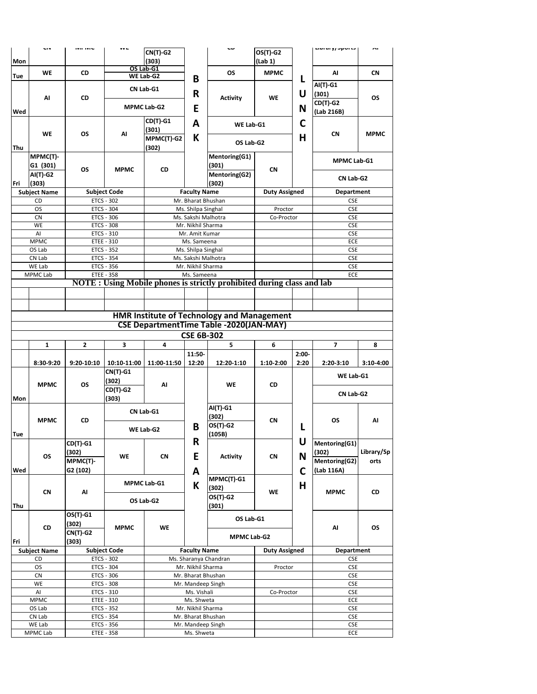|     | uv                                                                                                  | IVIE IVIU  | VV L                     | $CN(T)-G2$         |                                         | ື                                                                             | $OS(T)-G2$           |         | Liwiai yy Jpui La        | m           |
|-----|-----------------------------------------------------------------------------------------------------|------------|--------------------------|--------------------|-----------------------------------------|-------------------------------------------------------------------------------|----------------------|---------|--------------------------|-------------|
| Mon |                                                                                                     |            |                          | (303)              |                                         |                                                                               | (Lab 1)              |         |                          |             |
|     |                                                                                                     |            |                          | OS Lab-G1          |                                         |                                                                               |                      |         |                          |             |
| Tue | WE                                                                                                  | CD         |                          | WE Lab-G2          |                                         | <b>OS</b>                                                                     | <b>MPMC</b>          |         | AI                       | <b>CN</b>   |
|     |                                                                                                     |            |                          |                    | В                                       |                                                                               |                      | L       | AI(T)-G1                 |             |
|     |                                                                                                     |            |                          | CN Lab-G1          | R                                       |                                                                               |                      | U       | (301)                    |             |
|     | Al                                                                                                  | CD         |                          |                    |                                         | <b>Activity</b>                                                               | WE                   |         | CD(T)-G2                 | ΟS          |
|     |                                                                                                     |            |                          | <b>MPMC Lab-G2</b> | E                                       |                                                                               |                      | N       |                          |             |
| Wed |                                                                                                     |            |                          |                    |                                         |                                                                               |                      |         | (Lab 216B)               |             |
|     |                                                                                                     |            |                          | CD(T)-G1           | A                                       | WE Lab-G1                                                                     |                      | C       |                          |             |
|     | <b>WE</b>                                                                                           | <b>OS</b>  | AI                       | (301)              |                                         |                                                                               |                      |         | <b>CN</b>                | <b>MPMC</b> |
|     |                                                                                                     |            |                          | MPMC(T)-G2         | K                                       | OS Lab-G2                                                                     |                      | H       |                          |             |
| Thu |                                                                                                     |            |                          | (302)              |                                         |                                                                               |                      |         |                          |             |
|     | MPMC(T)-                                                                                            |            |                          |                    |                                         | Mentoring(G1)                                                                 |                      |         | <b>MPMC Lab-G1</b>       |             |
|     | G1 (301)                                                                                            | OS         | <b>MPMC</b>              | <b>CD</b>          |                                         | (301)                                                                         | <b>CN</b>            |         |                          |             |
|     | AI(T)-G2                                                                                            |            |                          |                    |                                         | Mentoring(G2)                                                                 |                      |         |                          |             |
| Fri | (303)                                                                                               |            |                          |                    |                                         | (302)                                                                         |                      |         | CN Lab-G2                |             |
|     | <b>Subject Name</b>                                                                                 |            | <b>Subject Code</b>      |                    | <b>Faculty Name</b>                     |                                                                               | <b>Duty Assigned</b> |         | Department               |             |
|     | CD                                                                                                  |            | <b>ETCS - 302</b>        |                    | Mr. Bharat Bhushan                      |                                                                               |                      |         | <b>CSE</b>               |             |
|     | 0S                                                                                                  |            | <b>ETCS - 304</b>        |                    | Ms. Shilpa Singhal                      |                                                                               | Proctor              |         | <b>CSE</b>               |             |
|     | <b>CN</b>                                                                                           |            | ETCS - 306               |                    | Ms. Sakshi Malhotra                     |                                                                               | Co-Proctor           |         | <b>CSE</b>               |             |
|     | WE                                                                                                  |            | <b>ETCS - 308</b>        |                    | Mr. Nikhil Sharma                       |                                                                               |                      |         | <b>CSE</b>               |             |
|     | AI                                                                                                  |            | ETCS - 310               |                    | Mr. Amit Kumar                          |                                                                               |                      |         | <b>CSE</b>               |             |
|     | <b>MPMC</b>                                                                                         |            | <b>ETEE - 310</b>        |                    | Ms. Sameena                             |                                                                               |                      |         | ECE                      |             |
|     | OS Lab                                                                                              |            | ETCS - 352               |                    | Ms. Shilpa Singhal                      |                                                                               |                      |         | <b>CSE</b>               |             |
|     | CN Lab                                                                                              |            | ETCS - 354               |                    | Ms. Sakshi Malhotra                     |                                                                               |                      |         | <b>CSE</b>               |             |
|     | WE Lab                                                                                              |            | ETCS - 356               |                    | Mr. Nikhil Sharma                       |                                                                               |                      |         | <b>CSE</b>               |             |
|     | <b>MPMC Lab</b>                                                                                     |            | <b>ETEE - 358</b>        |                    | Ms. Sameena                             |                                                                               |                      |         | ECE                      |             |
|     |                                                                                                     |            |                          |                    |                                         | <b>NOTE</b> : Using Mobile phones is strictly prohibited during class and lab |                      |         |                          |             |
|     |                                                                                                     |            |                          |                    |                                         |                                                                               |                      |         |                          |             |
|     |                                                                                                     |            |                          |                    |                                         |                                                                               |                      |         |                          |             |
|     |                                                                                                     |            |                          |                    |                                         |                                                                               |                      |         |                          |             |
|     | <b>HMR Institute of Technology and Management</b><br><b>CSE DepartmentTime Table -2020(JAN-MAY)</b> |            |                          |                    |                                         |                                                                               |                      |         |                          |             |
|     |                                                                                                     |            |                          |                    |                                         |                                                                               |                      |         |                          |             |
|     |                                                                                                     |            |                          |                    | <b>CSE 6B-302</b>                       |                                                                               |                      |         |                          |             |
|     | 1                                                                                                   | 2          | 3                        | 4                  |                                         | 5                                                                             | 6                    |         | 7                        | 8           |
|     |                                                                                                     |            |                          |                    | 11:50-                                  |                                                                               |                      | $2:00-$ |                          |             |
|     | 8:30-9:20                                                                                           | 9:20-10:10 | 10:10-11:00              | 11:00-11:50        | 12:20                                   | 12:20-1:10                                                                    | 1:10-2:00            | 2:20    | 2:20-3:10                | 3:10-4:00   |
|     |                                                                                                     |            | CN(T)-G1                 |                    |                                         |                                                                               |                      |         |                          |             |
|     |                                                                                                     |            | (302)                    |                    |                                         |                                                                               |                      |         | WE Lab-G1                |             |
|     | <b>MPMC</b>                                                                                         | <b>OS</b>  | $CD(T)-G2$               | AI                 |                                         | <b>WE</b>                                                                     | CD                   |         |                          |             |
| Mon |                                                                                                     |            | (303)                    |                    |                                         |                                                                               |                      |         | CN Lab-G2                |             |
|     |                                                                                                     |            |                          |                    |                                         | AI(T)-G1                                                                      |                      |         |                          |             |
|     |                                                                                                     |            |                          | CN Lab-G1          |                                         | (302)                                                                         |                      |         |                          |             |
|     | <b>MPMC</b>                                                                                         | CD         |                          |                    |                                         | OS(T)-G2                                                                      | CN                   |         | ΟS                       | Al          |
|     |                                                                                                     |            |                          | WE Lab-G2          | B                                       | (105B)                                                                        |                      | L       |                          |             |
| Tue |                                                                                                     | $CD(T)-G1$ |                          |                    | R                                       |                                                                               |                      | U       | Mentoring(G1)            |             |
|     |                                                                                                     |            |                          |                    |                                         |                                                                               |                      |         |                          | Library/Sp  |
|     | OS                                                                                                  | (302)      | WE                       | CN                 | E                                       | <b>Activity</b>                                                               | CN                   | N       | (302)                    | orts        |
|     |                                                                                                     | MPMC(T)-   |                          |                    |                                         |                                                                               |                      |         | Mentoring(G2)            |             |
| Wed |                                                                                                     | G2 (102)   |                          |                    | A                                       | MPMC(T)-G1                                                                    |                      | C       | (Lab 116A)               |             |
|     |                                                                                                     |            |                          | <b>MPMC Lab-G1</b> | К                                       |                                                                               |                      | Н       |                          |             |
|     | <b>CN</b>                                                                                           | Al         |                          |                    |                                         | (302)                                                                         | WE                   |         | <b>MPMC</b>              | CD          |
|     |                                                                                                     |            |                          | OS Lab-G2          |                                         | OS(T)-G2                                                                      |                      |         |                          |             |
| Thu |                                                                                                     |            |                          |                    |                                         | (301)                                                                         |                      |         |                          |             |
|     |                                                                                                     | OS(T)-G1   |                          |                    |                                         | OS Lab-G1                                                                     |                      |         |                          |             |
|     | CD                                                                                                  | (302)      | <b>MPMC</b>              | WE                 |                                         |                                                                               |                      |         | Al                       | <b>OS</b>   |
|     |                                                                                                     | $CN(T)-G2$ |                          |                    |                                         | <b>MPMC Lab-G2</b>                                                            |                      |         |                          |             |
| Fri |                                                                                                     | (303)      |                          |                    |                                         |                                                                               |                      |         |                          |             |
|     | <b>Subject Name</b>                                                                                 |            | <b>Subject Code</b>      |                    | <b>Faculty Name</b>                     |                                                                               | <b>Duty Assigned</b> |         | <b>Department</b>        |             |
|     | CD                                                                                                  |            | <b>ETCS - 302</b>        |                    |                                         | Ms. Sharanya Chandran                                                         |                      |         | <b>CSE</b>               |             |
|     |                                                                                                     |            |                          |                    | Mr. Nikhil Sharma                       |                                                                               | Proctor              |         | <b>CSE</b>               |             |
|     | <b>OS</b>                                                                                           | ETCS - 304 |                          |                    |                                         |                                                                               |                      |         |                          |             |
|     | <b>CN</b>                                                                                           |            | ETCS - 306               |                    | Mr. Bharat Bhushan                      |                                                                               |                      |         | <b>CSE</b>               |             |
|     | WE                                                                                                  |            | <b>ETCS - 308</b>        |                    | Mr. Mandeep Singh                       |                                                                               |                      |         | <b>CSE</b>               |             |
|     | AI                                                                                                  |            | ETCS - 310               |                    | Ms. Vishali                             |                                                                               | Co-Proctor           |         | <b>CSE</b>               |             |
|     | <b>MPMC</b>                                                                                         |            | ETEE - 310               |                    | Ms. Shweta                              |                                                                               |                      |         | ECE                      |             |
|     | OS Lab                                                                                              |            | ETCS - 352               |                    | Mr. Nikhil Sharma                       |                                                                               |                      |         | <b>CSE</b>               |             |
|     | CN Lab<br>WE Lab                                                                                    |            | ETCS - 354<br>ETCS - 356 |                    | Mr. Bharat Bhushan<br>Mr. Mandeep Singh |                                                                               |                      |         | <b>CSE</b><br><b>CSE</b> |             |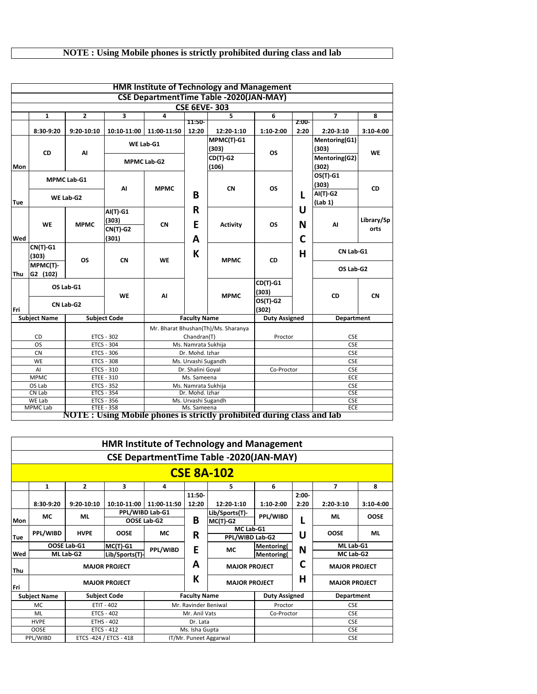## **NOTE : Using Mobile phones is strictly prohibited during class and lab**

|     |                      |                |                                               |                    |                                  | <b>HMR Institute of Technology and Management</b>                             |                      |                   |                          |                    |
|-----|----------------------|----------------|-----------------------------------------------|--------------------|----------------------------------|-------------------------------------------------------------------------------|----------------------|-------------------|--------------------------|--------------------|
|     |                      |                |                                               |                    |                                  | <b>CSE DepartmentTime Table -2020(JAN-MAY)</b>                                |                      |                   |                          |                    |
|     |                      |                |                                               |                    |                                  | <b>CSE 6EVE-303</b>                                                           |                      |                   |                          |                    |
|     | 1                    | $\overline{2}$ | 3                                             | 4                  |                                  | 5                                                                             | 6                    |                   | $\overline{\phantom{a}}$ | 8                  |
|     | 8:30-9:20            | 9:20-10:10     | 10:10-11:00                                   | 11:00-11:50        | 11:50-<br>12:20                  | 12:20-1:10                                                                    | 1:10-2:00            | $2:00-$<br>2:20   | $2:20-3:10$              | 3:10-4:00          |
|     | <b>CD</b>            | AI             |                                               | WE Lab-G1          |                                  | MPMC(T)-G1<br>(303)                                                           | <b>OS</b>            |                   | Mentoring(G1)<br>(303)   | <b>WE</b>          |
| Mon |                      |                |                                               | <b>MPMC Lab-G2</b> |                                  | <b>CD(T)-G2</b><br>(106)                                                      |                      |                   | Mentoring(G2)<br>(302)   |                    |
|     |                      | MPMC Lab-G1    | AI                                            | <b>MPMC</b>        | <b>CN</b>                        | OS                                                                            |                      | OS(T)-G1<br>(303) | <b>CD</b>                |                    |
| Tue |                      | WE Lab-G2      |                                               |                    | B                                |                                                                               |                      | L                 | AI(T)-G2<br>(Lab 1)      |                    |
| Wed | <b>WE</b>            | <b>MPMC</b>    | AI(T)-G1<br>(303)<br><b>CN(T)-G2</b><br>(301) | <b>CN</b>          | R<br>E<br>A                      | <b>Activity</b>                                                               | <b>OS</b>            | U<br>N<br>C       | AI                       | Library/Sp<br>orts |
|     | CN(T)-G1<br>(303)    | <b>OS</b>      | <b>CN</b>                                     | <b>WE</b>          | К                                | <b>MPMC</b>                                                                   | <b>CD</b>            | н                 | CN Lab-G1                |                    |
| Thu | MPMC(T)-<br>G2 (102) |                |                                               |                    |                                  |                                                                               |                      |                   | OS Lab-G2                |                    |
|     |                      | OS Lab-G1      | <b>WE</b>                                     | AI                 |                                  | <b>MPMC</b>                                                                   | $CD(T)-G1$<br>(303)  |                   | <b>CD</b>                | <b>CN</b>          |
| Fri |                      | CN Lab-G2      |                                               |                    |                                  |                                                                               | OS(T)-G2<br>(302)    |                   |                          |                    |
|     | <b>Subject Name</b>  |                | <b>Subject Code</b>                           |                    | <b>Faculty Name</b>              |                                                                               | <b>Duty Assigned</b> |                   | <b>Department</b>        |                    |
|     | CD                   |                | <b>ETCS - 302</b>                             |                    | Chandran(T)                      | Mr. Bharat Bhushan(Th)/Ms. Sharanya                                           | Proctor              |                   | <b>CSE</b>               |                    |
|     | OS                   |                | <b>ETCS - 304</b>                             |                    | Ms. Namrata Sukhija              |                                                                               |                      |                   | <b>CSE</b>               |                    |
|     | <b>CN</b>            |                | <b>ETCS - 306</b>                             |                    | Dr. Mohd. Izhar                  |                                                                               |                      |                   | <b>CSE</b>               |                    |
|     | WE                   |                | <b>ETCS - 308</b>                             |                    | Ms. Urvashi Sugandh              |                                                                               |                      |                   | <b>CSE</b>               |                    |
|     | AI<br><b>MPMC</b>    |                | ETCS - 310<br>ETEE - 310                      |                    | Dr. Shalini Goyal<br>Ms. Sameena |                                                                               | Co-Proctor           |                   | <b>CSE</b><br>ECE        |                    |
|     | OS Lab               |                | <b>ETCS - 352</b>                             |                    | Ms. Namrata Sukhija              |                                                                               |                      |                   | <b>CSE</b>               |                    |
|     | CN Lab               |                | <b>ETCS - 354</b>                             |                    | Dr. Mohd. Izhar                  |                                                                               |                      |                   | <b>CSE</b>               |                    |
|     | WE Lab               |                | ETCS - 356                                    |                    | Ms. Urvashi Sugandh              |                                                                               |                      |                   | <b>CSE</b>               |                    |
|     | <b>MPMC Lab</b>      |                | <b>ETEE - 358</b>                             |                    | Ms. Sameena                      |                                                                               |                      |                   | ECE                      |                    |
|     |                      |                |                                               |                    |                                  | <b>NOTE</b> : Using Mobile phones is strictly prohibited during class and lab |                      |                   |                          |                    |

|     |                                            |              |                        |               |                      | <b>HMR Institute of Technology and Management</b> |                      |            |                      |             |
|-----|--------------------------------------------|--------------|------------------------|---------------|----------------------|---------------------------------------------------|----------------------|------------|----------------------|-------------|
|     |                                            |              |                        |               |                      | <b>CSE DepartmentTime Table -2020(JAN-MAY)</b>    |                      |            |                      |             |
|     |                                            |              |                        |               |                      | <b>CSE 8A-102</b>                                 |                      |            |                      |             |
|     | $\mathbf{1}$                               | 2            | 3                      | 4             |                      | 5                                                 | 6                    |            | 7                    | 8           |
|     |                                            |              |                        |               | 11:50-               |                                                   |                      | $2:00-$    |                      |             |
|     | 8:30-9:20                                  | $9:20-10:10$ | $10:10-11:00$          | 11:00-11:50   | 12:20                | 12:20-1:10                                        | 1:10-2:00            | 2:20       | $2:20-3:10$          | $3:10-4:00$ |
|     | МC                                         | <b>ML</b>    | PPL/WIBD Lab-G1        |               |                      | Lib/Sports(T)-                                    | PPL/WIBD             |            | ML                   | <b>OOSE</b> |
| Mon |                                            |              | OOSE Lab-G2            |               | B                    | $MC(T)-G2$                                        |                      |            |                      |             |
|     | PPL/WIBD                                   | <b>HVPE</b>  | <b>OOSE</b>            | МC            | R                    | MC Lab-G1                                         |                      | U          | <b>OOSE</b>          | ML          |
| Tue |                                            |              |                        |               |                      | PPL/WIBD Lab-G2                                   |                      |            |                      |             |
|     |                                            | OOSE Lab-G1  | $MC(T)-G1$             | PPL/WIBD      | E                    | МC                                                | <b>Mentoring</b>     | N          | ML Lab-G1            |             |
| Wed |                                            | ML Lab-G2    | Lib/Sports(T)-         |               |                      |                                                   | <b>Mentoring</b>     |            | MC Lab-G2            |             |
| Thu |                                            |              | <b>MAJOR PROJECT</b>   |               | A                    | <b>MAJOR PROJECT</b>                              |                      | C          | <b>MAJOR PROJECT</b> |             |
| Fri |                                            |              | <b>MAJOR PROJECT</b>   |               | К                    | <b>MAJOR PROJECT</b>                              |                      | н          | <b>MAJOR PROJECT</b> |             |
|     | <b>Subject Code</b><br><b>Subject Name</b> |              |                        |               | <b>Faculty Name</b>  |                                                   | <b>Duty Assigned</b> |            | <b>Department</b>    |             |
|     | <b>ETIT - 402</b><br>MC.                   |              |                        |               | Mr. Ravinder Beniwal |                                                   | Proctor              |            | <b>CSE</b>           |             |
|     | <b>ETCS - 402</b><br>ML                    |              |                        | Mr. Anil Vats |                      | Co-Proctor                                        |                      | <b>CSE</b> |                      |             |
|     | <b>HVPE</b><br><b>ETHS - 402</b>           |              |                        |               | Dr. Lata             |                                                   |                      |            | <b>CSE</b>           |             |
|     | <b>OOSE</b>                                |              | <b>ETCS - 412</b>      |               | Ms. Isha Gupta       |                                                   |                      |            | <b>CSE</b>           |             |
|     | PPL/WIBD                                   |              | ETCS -424 / ETCS - 418 |               |                      | IT/Mr. Puneet Aggarwal                            |                      |            | <b>CSE</b>           |             |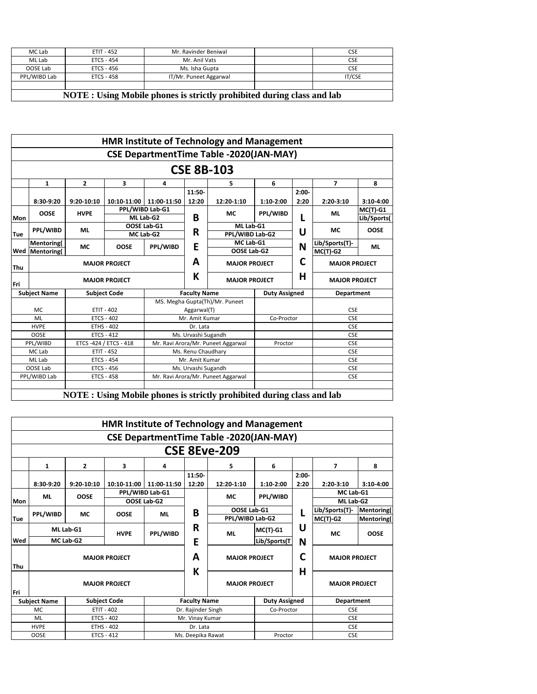| MC Lab       | <b>ETIT - 452</b> | Mr. Ravinder Beniwal   | <b>CSE</b>    |
|--------------|-------------------|------------------------|---------------|
| ML Lab       | ETCS - 454        | Mr. Anil Vats          | <b>CSE</b>    |
| OOSE Lab     | ETCS - 456        | Ms. Isha Gupta         | <b>CSE</b>    |
| PPL/WIBD Lab | ETCS - 458        | IT/Mr. Puneet Aggarwal | <b>IT/CSE</b> |
|              |                   |                        |               |

**NOTE : Using Mobile phones is strictly prohibited during class and lab**

|            |                       |              |                        |                           |                     | <b>HMR Institute of Technology and Management</b> |                      |            |                      |             |
|------------|-----------------------|--------------|------------------------|---------------------------|---------------------|---------------------------------------------------|----------------------|------------|----------------------|-------------|
|            |                       |              |                        |                           |                     | <b>CSE DepartmentTime Table -2020(JAN-MAY)</b>    |                      |            |                      |             |
|            |                       |              |                        |                           |                     | <b>CSE 8B-103</b>                                 |                      |            |                      |             |
|            | 1                     | $\mathbf{2}$ | 3                      | 4                         |                     | 5                                                 | 6                    |            | $\overline{7}$       | 8           |
|            |                       |              |                        |                           | 11:50-              |                                                   |                      | $2:00-$    |                      |             |
|            | 8:30-9:20             | 9:20-10:10   |                        | 10:10-11:00   11:00-11:50 | 12:20               | 12:20-1:10                                        | 1:10-2:00            | 2:20       | $2:20-3:10$          | $3:10-4:00$ |
|            | <b>OOSE</b>           | <b>HVPE</b>  |                        | PPL/WIBD Lab-G1           |                     | МC                                                | PPL/WIBD             |            | ML                   | $MC(T)-G1$  |
| <b>Mon</b> |                       |              |                        | ML Lab-G2                 | B                   |                                                   |                      | L          |                      | Lib/Sports( |
|            | PPL/WIBD<br><b>ML</b> |              |                        | OOSE Lab-G1               |                     | ML Lab-G1                                         |                      | U          | МC                   | <b>OOSE</b> |
| Tue        |                       |              |                        | MC Lab-G2                 | R                   | PPL/WIBD Lab-G2                                   |                      |            |                      |             |
|            | Mentoring(            | МC           | <b>OOSE</b>            | PPL/WIBD                  | E                   | MC Lab-G1                                         |                      | N          | Lib/Sports(T)-       | ML          |
| Wed        | <b>Mentoring</b>      |              |                        |                           |                     | OOSE Lab-G2                                       |                      | $MC(T)-G2$ |                      |             |
| Thu        |                       |              | <b>MAJOR PROJECT</b>   |                           | A                   | <b>MAJOR PROJECT</b>                              |                      | C          | <b>MAJOR PROJECT</b> |             |
| Fri        |                       |              | <b>MAJOR PROJECT</b>   |                           | К                   | <b>MAJOR PROJECT</b>                              |                      | Н          | <b>MAJOR PROJECT</b> |             |
|            | <b>Subject Name</b>   |              | <b>Subject Code</b>    | <b>Faculty Name</b>       |                     |                                                   | <b>Duty Assigned</b> |            | <b>Department</b>    |             |
|            |                       |              |                        |                           |                     | MS. Megha Gupta(Th)/Mr. Puneet                    |                      |            |                      |             |
|            | <b>MC</b>             |              | <b>ETIT - 402</b>      |                           | Aggarwal(T)         |                                                   |                      |            | <b>CSE</b>           |             |
|            | ML                    |              | <b>ETCS - 402</b>      |                           | Mr. Amit Kumar      |                                                   | Co-Proctor           |            | <b>CSE</b>           |             |
|            | <b>HVPE</b>           |              | <b>ETHS - 402</b>      |                           | Dr. Lata            |                                                   |                      |            | <b>CSE</b>           |             |
|            | <b>OOSE</b>           |              | <b>ETCS - 412</b>      |                           | Ms. Urvashi Sugandh |                                                   |                      |            | <b>CSE</b>           |             |
|            | PPL/WIBD              |              | ETCS -424 / ETCS - 418 |                           |                     | Mr. Ravi Arora/Mr. Puneet Aggarwal                | Proctor              |            | <b>CSE</b>           |             |
|            | MC Lab                |              | <b>ETIT - 452</b>      |                           | Ms. Renu Chaudhary  |                                                   |                      |            | <b>CSE</b>           |             |
|            | ML Lab                |              | <b>ETCS - 454</b>      |                           | Mr. Amit Kumar      |                                                   |                      |            | <b>CSE</b>           |             |
|            | OOSE Lab              |              | <b>ETCS - 456</b>      |                           | Ms. Urvashi Sugandh |                                                   |                      |            | <b>CSE</b>           |             |
|            | PPL/WIBD Lab          |              | <b>ETCS - 458</b>      |                           |                     | Mr. Ravi Arora/Mr. Puneet Aggarwal                |                      |            | <b>CSE</b>           |             |
|            |                       |              |                        |                           |                     |                                                   |                      |            |                      |             |

**NOTE : Using Mobile phones is strictly prohibited during class and lab**

|            |                           |                |                      |                 |                      | <b>HMR Institute of Technology and Management</b> |                      |                      |                      |                  |
|------------|---------------------------|----------------|----------------------|-----------------|----------------------|---------------------------------------------------|----------------------|----------------------|----------------------|------------------|
|            |                           |                |                      |                 |                      | <b>CSE DepartmentTime Table -2020(JAN-MAY)</b>    |                      |                      |                      |                  |
|            |                           |                |                      |                 |                      | <b>CSE 8Eve-209</b>                               |                      |                      |                      |                  |
|            | 1                         | $\overline{2}$ | 3                    | 4               |                      | 5                                                 | 6                    |                      | 7                    | 8                |
|            |                           |                |                      |                 | 11:50-               |                                                   |                      | $2:00-$              |                      |                  |
|            | 8:30-9:20                 | 9:20-10:10     | 10:10-11:00          | 11:00-11:50     | 12:20                | 12:20-1:10                                        | 1:10-2:00            | 2:20                 | $2:20-3:10$          | $3:10-4:00$      |
|            | <b>OOSE</b><br>ML         |                |                      | PPL/WIBD Lab-G1 |                      | МC                                                | PPL/WIBD             |                      | MC Lab-G1            |                  |
| Mon        |                           |                |                      | OOSE Lab-G2     |                      |                                                   |                      |                      | ML Lab-G2            |                  |
|            | <b>PPL/WIBD</b>           | <b>MC</b>      | <b>OOSE</b>          | <b>ML</b>       | B                    | OOSE Lab-G1                                       |                      |                      | Lib/Sports(T)-       | Mentoring(       |
| Tue        |                           |                |                      |                 |                      |                                                   | PPL/WIBD Lab-G2      |                      | $MC(T)-G2$           | <b>Mentoring</b> |
|            |                           | ML Lab-G1      | <b>HVPE</b>          | <b>PPL/WIBD</b> | R                    | <b>ML</b>                                         | $MC(T)$ -G1          | U                    | <b>MC</b>            | <b>OOSE</b>      |
| Wed        |                           | MC Lab-G2      |                      |                 | E                    |                                                   | Lib/Sports(T         | N                    |                      |                  |
| <b>Thu</b> |                           |                | <b>MAJOR PROJECT</b> |                 | A                    | <b>MAJOR PROJECT</b>                              |                      | C                    | <b>MAJOR PROJECT</b> |                  |
| l Fri      | <b>MAJOR PROJECT</b>      |                |                      | K               | <b>MAJOR PROJECT</b> |                                                   | H                    | <b>MAJOR PROJECT</b> |                      |                  |
|            | <b>Subject Name</b>       |                | <b>Subject Code</b>  |                 | <b>Faculty Name</b>  |                                                   | <b>Duty Assigned</b> |                      | <b>Department</b>    |                  |
|            | MC.                       |                | $ETIT - 402$         |                 | Dr. Rajinder Singh   |                                                   | Co-Proctor           |                      | <b>CSE</b>           |                  |
|            | ML<br>ETCS - 402          |                |                      | Mr. Vinay Kumar |                      |                                                   |                      | <b>CSE</b>           |                      |                  |
|            | <b>HVPE</b>               |                | <b>ETHS - 402</b>    |                 | Dr. Lata             |                                                   |                      |                      | <b>CSE</b>           |                  |
|            | <b>OOSE</b><br>ETCS - 412 |                |                      |                 | Ms. Deepika Rawat    |                                                   | Proctor              |                      | <b>CSE</b>           |                  |
|            |                           |                |                      |                 |                      |                                                   |                      |                      |                      |                  |